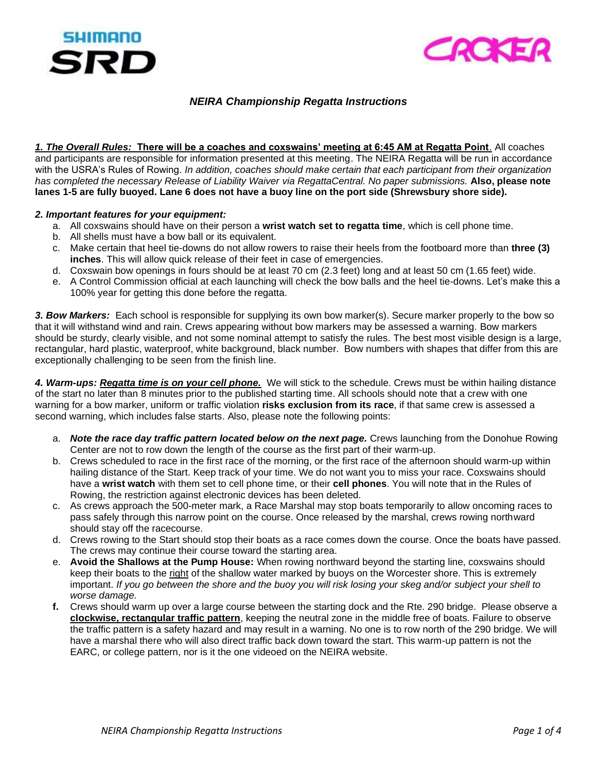



## *NEIRA Championship Regatta Instructions*

*1. The Overall Rules:* **There will be a coaches and coxswains' meeting at 6:45 AM at Regatta Point**. All coaches and participants are responsible for information presented at this meeting. The NEIRA Regatta will be run in accordance with the USRA's Rules of Rowing. *In addition, coaches should make certain that each participant from their organization has completed the necessary Release of Liability Waiver via RegattaCentral. No paper submissions.* **Also, please note lanes 1-5 are fully buoyed. Lane 6 does not have a buoy line on the port side (Shrewsbury shore side).**

## *2. Important features for your equipment:*

- a. All coxswains should have on their person a **wrist watch set to regatta time**, which is cell phone time.
- b. All shells must have a bow ball or its equivalent.
- c. Make certain that heel tie-downs do not allow rowers to raise their heels from the footboard more than **three (3) inches**. This will allow quick release of their feet in case of emergencies.
- d. Coxswain bow openings in fours should be at least 70 cm (2.3 feet) long and at least 50 cm (1.65 feet) wide.
- e. A Control Commission official at each launching will check the bow balls and the heel tie-downs. Let's make this a 100% year for getting this done before the regatta.

*3. Bow Markers:* Each school is responsible for supplying its own bow marker(s). Secure marker properly to the bow so that it will withstand wind and rain. Crews appearing without bow markers may be assessed a warning. Bow markers should be sturdy, clearly visible, and not some nominal attempt to satisfy the rules. The best most visible design is a large, rectangular, hard plastic, waterproof, white background, black number. Bow numbers with shapes that differ from this are exceptionally challenging to be seen from the finish line.

*4. Warm-ups: Regatta time is on your cell phone.* We will stick to the schedule. Crews must be within hailing distance of the start no later than 8 minutes prior to the published starting time. All schools should note that a crew with one warning for a bow marker, uniform or traffic violation **risks exclusion from its race**, if that same crew is assessed a second warning, which includes false starts. Also, please note the following points:

- a. *Note the race day traffic pattern located below on the next page.* Crews launching from the Donohue Rowing Center are not to row down the length of the course as the first part of their warm-up.
- b. Crews scheduled to race in the first race of the morning, or the first race of the afternoon should warm-up within hailing distance of the Start. Keep track of your time. We do not want you to miss your race. Coxswains should have a **wrist watch** with them set to cell phone time, or their **cell phones**. You will note that in the Rules of Rowing, the restriction against electronic devices has been deleted.
- c. As crews approach the 500-meter mark, a Race Marshal may stop boats temporarily to allow oncoming races to pass safely through this narrow point on the course. Once released by the marshal, crews rowing northward should stay off the racecourse.
- d. Crews rowing to the Start should stop their boats as a race comes down the course. Once the boats have passed. The crews may continue their course toward the starting area.
- e. **Avoid the Shallows at the Pump House:** When rowing northward beyond the starting line, coxswains should keep their boats to the right of the shallow water marked by buoys on the Worcester shore. This is extremely important. *If you go between the shore and the buoy you will risk losing your skeg and/or subject your shell to worse damage.*
- **f.** Crews should warm up over a large course between the starting dock and the Rte. 290 bridge. Please observe a **clockwise, rectangular traffic pattern**, keeping the neutral zone in the middle free of boats. Failure to observe the traffic pattern is a safety hazard and may result in a warning. No one is to row north of the 290 bridge. We will have a marshal there who will also direct traffic back down toward the start. This warm-up pattern is not the EARC, or college pattern, nor is it the one videoed on the NEIRA website.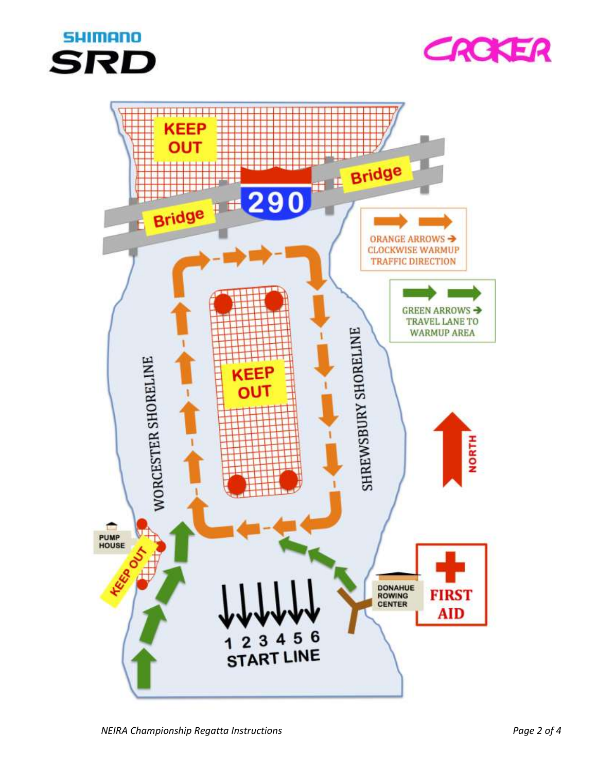



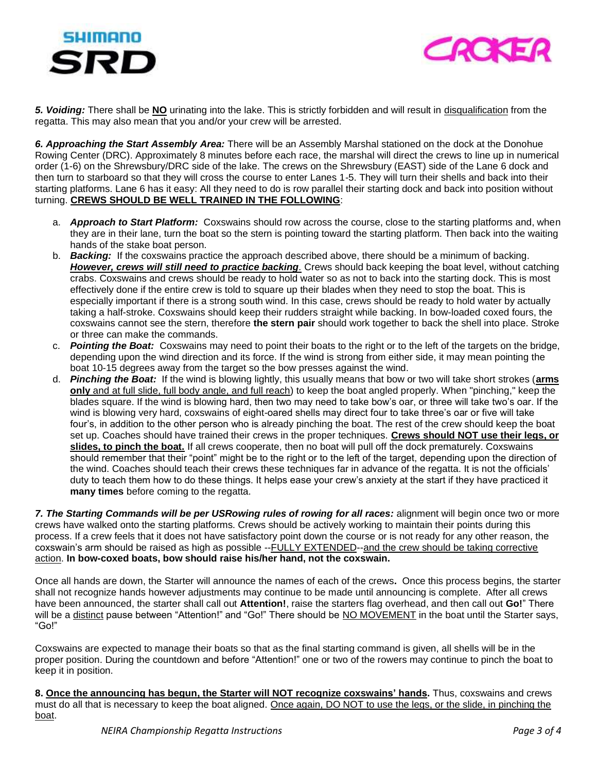



*5. Voiding:* There shall be **NO** urinating into the lake. This is strictly forbidden and will result in disqualification from the regatta. This may also mean that you and/or your crew will be arrested.

*6. Approaching the Start Assembly Area:* There will be an Assembly Marshal stationed on the dock at the Donohue Rowing Center (DRC). Approximately 8 minutes before each race, the marshal will direct the crews to line up in numerical order (1-6) on the Shrewsbury/DRC side of the lake. The crews on the Shrewsbury (EAST) side of the Lane 6 dock and then turn to starboard so that they will cross the course to enter Lanes 1-5. They will turn their shells and back into their starting platforms. Lane 6 has it easy: All they need to do is row parallel their starting dock and back into position without turning. **CREWS SHOULD BE WELL TRAINED IN THE FOLLOWING**:

- a. *Approach to Start Platform:* Coxswains should row across the course, close to the starting platforms and, when they are in their lane, turn the boat so the stern is pointing toward the starting platform. Then back into the waiting hands of the stake boat person.
- b. *Backing:* If the coxswains practice the approach described above, there should be a minimum of backing*. However, crews will still need to practice backing.* Crews should back keeping the boat level, without catching crabs. Coxswains and crews should be ready to hold water so as not to back into the starting dock. This is most effectively done if the entire crew is told to square up their blades when they need to stop the boat. This is especially important if there is a strong south wind. In this case, crews should be ready to hold water by actually taking a half-stroke. Coxswains should keep their rudders straight while backing. In bow-loaded coxed fours, the coxswains cannot see the stern, therefore **the stern pair** should work together to back the shell into place. Stroke or three can make the commands.
- c. *Pointing the Boat:* Coxswains may need to point their boats to the right or to the left of the targets on the bridge, depending upon the wind direction and its force. If the wind is strong from either side, it may mean pointing the boat 10-15 degrees away from the target so the bow presses against the wind.
- d. *Pinching the Boat:* If the wind is blowing lightly, this usually means that bow or two will take short strokes (**arms only** and at full slide, full body angle, and full reach) to keep the boat angled properly. When "pinching," keep the blades square. If the wind is blowing hard, then two may need to take bow's oar, or three will take two's oar. If the wind is blowing very hard, coxswains of eight-oared shells may direct four to take three's oar or five will take four's, in addition to the other person who is already pinching the boat. The rest of the crew should keep the boat set up. Coaches should have trained their crews in the proper techniques. **Crews should NOT use their legs, or slides, to pinch the boat.** If all crews cooperate, then no boat will pull off the dock prematurely. Coxswains should remember that their "point" might be to the right or to the left of the target, depending upon the direction of the wind. Coaches should teach their crews these techniques far in advance of the regatta. It is not the officials' duty to teach them how to do these things. It helps ease your crew's anxiety at the start if they have practiced it **many times** before coming to the regatta.

*7. The Starting Commands will be per USRowing rules of rowing for all races:* alignment will begin once two or more crews have walked onto the starting platforms. Crews should be actively working to maintain their points during this process. If a crew feels that it does not have satisfactory point down the course or is not ready for any other reason, the coxswain's arm should be raised as high as possible --FULLY EXTENDED--and the crew should be taking corrective action. **In bow-coxed boats, bow should raise his/her hand, not the coxswain.**

Once all hands are down, the Starter will announce the names of each of the crews**.** Once this process begins, the starter shall not recognize hands however adjustments may continue to be made until announcing is complete. After all crews have been announced, the starter shall call out **Attention!**, raise the starters flag overhead, and then call out **Go!**" There will be a distinct pause between "Attention!" and "Go!" There should be NO MOVEMENT in the boat until the Starter says, "Go!"

Coxswains are expected to manage their boats so that as the final starting command is given, all shells will be in the proper position. During the countdown and before "Attention!" one or two of the rowers may continue to pinch the boat to keep it in position.

**8. Once the announcing has begun, the Starter will NOT recognize coxswains' hands.** Thus, coxswains and crews must do all that is necessary to keep the boat aligned. Once again, DO NOT to use the legs, or the slide, in pinching the boat.